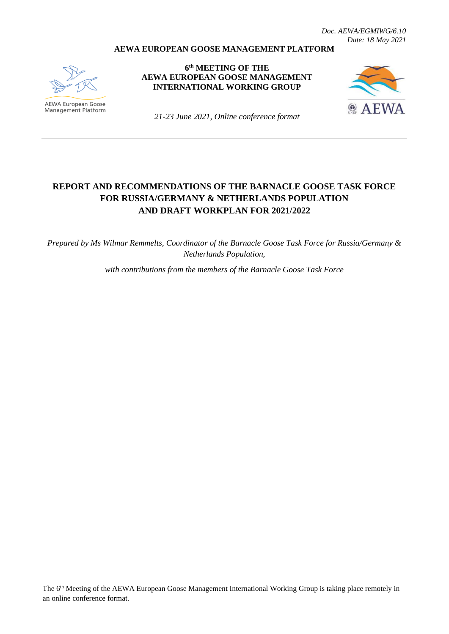*Doc. AEWA/EGMIWG/6.10 Date: 18 May 2021*

#### **AEWA EUROPEAN GOOSE MANAGEMENT PLATFORM**



**AEWA European Goose** Management Platform

**6 th MEETING OF THE AEWA EUROPEAN GOOSE MANAGEMENT INTERNATIONAL WORKING GROUP**



*21-23 June 2021, Online conference format*

# **REPORT AND RECOMMENDATIONS OF THE BARNACLE GOOSE TASK FORCE FOR RUSSIA/GERMANY & NETHERLANDS POPULATION AND DRAFT WORKPLAN FOR 2021/2022**

*Prepared by Ms Wilmar Remmelts, Coordinator of the Barnacle Goose Task Force for Russia/Germany & Netherlands Population,* 

*with contributions from the members of the Barnacle Goose Task Force* 

The 6<sup>th</sup> Meeting of the AEWA European Goose Management International Working Group is taking place remotely in an online conference format.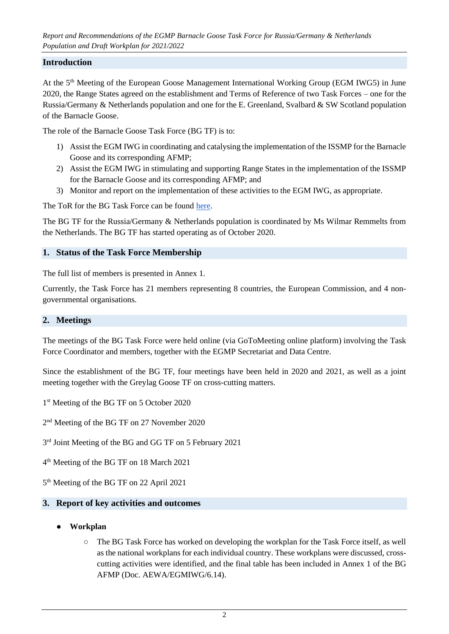# **Introduction**

At the 5<sup>th</sup> Meeting of the European Goose Management International Working Group (EGM IWG5) in June 2020, the Range States agreed on the establishment and Terms of Reference of two Task Forces – one for the Russia/Germany & Netherlands population and one for the E. Greenland, Svalbard & SW Scotland population of the Barnacle Goose.

The role of the Barnacle Goose Task Force (BG TF) is to:

- 1) Assist the EGM IWG in coordinating and catalysing the implementation of the ISSMP for the Barnacle Goose and its corresponding AFMP;
- 2) Assist the EGM IWG in stimulating and supporting Range States in the implementation of the ISSMP for the Barnacle Goose and its corresponding AFMP; and
- 3) Monitor and report on the implementation of these activities to the EGM IWG, as appropriate.

The ToR for the BG Task Force can be found [here.](https://egmp.aewa.info/sites/default/files/meeting_files/documents/AEWA_EGM_IWG_5_23_ToR_BG.pdf)

The BG TF for the Russia/Germany & Netherlands population is coordinated by Ms Wilmar Remmelts from the Netherlands. The BG TF has started operating as of October 2020.

# **1. Status of the Task Force Membership**

The full list of members is presented in Annex 1.

Currently, the Task Force has 21 members representing 8 countries, the European Commission, and 4 nongovernmental organisations.

#### **2. Meetings**

The meetings of the BG Task Force were held online (via GoToMeeting online platform) involving the Task Force Coordinator and members, together with the EGMP Secretariat and Data Centre.

Since the establishment of the BG TF, four meetings have been held in 2020 and 2021, as well as a joint meeting together with the Greylag Goose TF on cross-cutting matters.

- 1<sup>st</sup> Meeting of the BG TF on 5 October 2020
- 2<sup>nd</sup> Meeting of the BG TF on 27 November 2020
- 3<sup>rd</sup> Joint Meeting of the BG and GG TF on 5 February 2021
- 4 th Meeting of the BG TF on 18 March 2021
- 5 th Meeting of the BG TF on 22 April 2021

#### **3. Report of key activities and outcomes**

- **Workplan**
	- The BG Task Force has worked on developing the workplan for the Task Force itself, as well as the national workplans for each individual country. These workplans were discussed, crosscutting activities were identified, and the final table has been included in Annex 1 of the BG AFMP (Doc. AEWA/EGMIWG/6.14).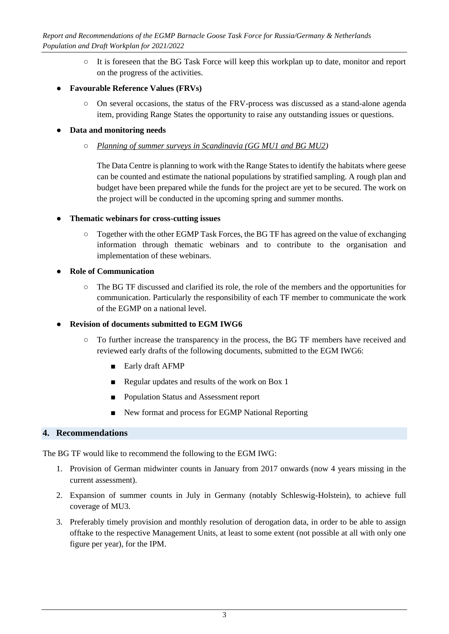○ It is foreseen that the BG Task Force will keep this workplan up to date, monitor and report on the progress of the activities.

# ● **Favourable Reference Values (FRVs)**

○ On several occasions, the status of the FRV-process was discussed as a stand-alone agenda item, providing Range States the opportunity to raise any outstanding issues or questions.

# ● **Data and monitoring needs**

○ *Planning of summer surveys in Scandinavia (GG MU1 and BG MU2)*

The Data Centre is planning to work with the Range States to identify the habitats where geese can be counted and estimate the national populations by stratified sampling. A rough plan and budget have been prepared while the funds for the project are yet to be secured. The work on the project will be conducted in the upcoming spring and summer months.

# ● **Thematic webinars for cross-cutting issues**

○ Together with the other EGMP Task Forces, the BG TF has agreed on the value of exchanging information through thematic webinars and to contribute to the organisation and implementation of these webinars.

# ● **Role of Communication**

○ The BG TF discussed and clarified its role, the role of the members and the opportunities for communication. Particularly the responsibility of each TF member to communicate the work of the EGMP on a national level.

# **Revision of documents submitted to EGM IWG6**

- To further increase the transparency in the process, the BG TF members have received and reviewed early drafts of the following documents, submitted to the EGM IWG6:
	- Early draft AFMP
	- Regular updates and results of the work on Box 1
	- Population Status and Assessment report
	- New format and process for EGMP National Reporting

# **4. Recommendations**

The BG TF would like to recommend the following to the EGM IWG:

- 1. Provision of German midwinter counts in January from 2017 onwards (now 4 years missing in the current assessment).
- 2. Expansion of summer counts in July in Germany (notably Schleswig-Holstein), to achieve full coverage of MU3.
- 3. Preferably timely provision and monthly resolution of derogation data, in order to be able to assign offtake to the respective Management Units, at least to some extent (not possible at all with only one figure per year), for the IPM.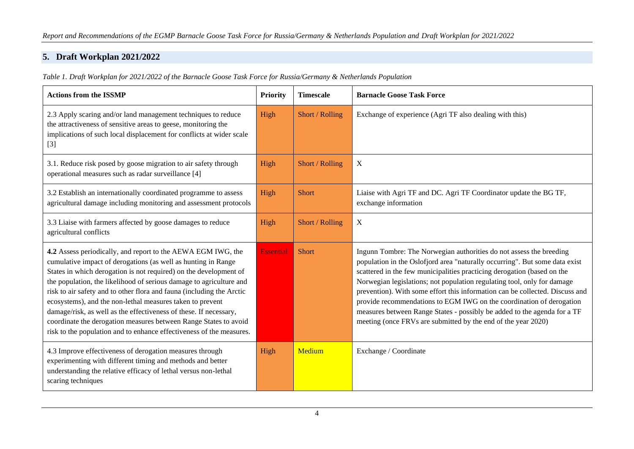# **5. Draft Workplan 2021/2022**

*Table 1. Draft Workplan for 2021/2022 of the Barnacle Goose Task Force for Russia/Germany & Netherlands Population* 

| <b>Actions from the ISSMP</b>                                                                                                                                                                                                                                                                                                                                                                                                                                                                                                                                                                                                    | <b>Priority</b>  | <b>Timescale</b> | <b>Barnacle Goose Task Force</b>                                                                                                                                                                                                                                                                                                                                                                                                                                                                                                                                                                              |
|----------------------------------------------------------------------------------------------------------------------------------------------------------------------------------------------------------------------------------------------------------------------------------------------------------------------------------------------------------------------------------------------------------------------------------------------------------------------------------------------------------------------------------------------------------------------------------------------------------------------------------|------------------|------------------|---------------------------------------------------------------------------------------------------------------------------------------------------------------------------------------------------------------------------------------------------------------------------------------------------------------------------------------------------------------------------------------------------------------------------------------------------------------------------------------------------------------------------------------------------------------------------------------------------------------|
| 2.3 Apply scaring and/or land management techniques to reduce<br>the attractiveness of sensitive areas to geese, monitoring the<br>implications of such local displacement for conflicts at wider scale<br>$[3]$                                                                                                                                                                                                                                                                                                                                                                                                                 | High             | Short / Rolling  | Exchange of experience (Agri TF also dealing with this)                                                                                                                                                                                                                                                                                                                                                                                                                                                                                                                                                       |
| 3.1. Reduce risk posed by goose migration to air safety through<br>operational measures such as radar surveillance [4]                                                                                                                                                                                                                                                                                                                                                                                                                                                                                                           | High             | Short / Rolling  | X                                                                                                                                                                                                                                                                                                                                                                                                                                                                                                                                                                                                             |
| 3.2 Establish an internationally coordinated programme to assess<br>agricultural damage including monitoring and assessment protocols                                                                                                                                                                                                                                                                                                                                                                                                                                                                                            | High             | <b>Short</b>     | Liaise with Agri TF and DC. Agri TF Coordinator update the BG TF,<br>exchange information                                                                                                                                                                                                                                                                                                                                                                                                                                                                                                                     |
| 3.3 Liaise with farmers affected by goose damages to reduce<br>agricultural conflicts                                                                                                                                                                                                                                                                                                                                                                                                                                                                                                                                            | High             | Short / Rolling  | X                                                                                                                                                                                                                                                                                                                                                                                                                                                                                                                                                                                                             |
| 4.2 Assess periodically, and report to the AEWA EGM IWG, the<br>cumulative impact of derogations (as well as hunting in Range<br>States in which derogation is not required) on the development of<br>the population, the likelihood of serious damage to agriculture and<br>risk to air safety and to other flora and fauna (including the Arctic<br>ecosystems), and the non-lethal measures taken to prevent<br>damage/risk, as well as the effectiveness of these. If necessary,<br>coordinate the derogation measures between Range States to avoid<br>risk to the population and to enhance effectiveness of the measures. | <b>Essential</b> | <b>Short</b>     | Ingunn Tombre: The Norwegian authorities do not assess the breeding<br>population in the Oslofjord area "naturally occurring". But some data exist<br>scattered in the few municipalities practicing derogation (based on the<br>Norwegian legislations; not population regulating tool, only for damage<br>prevention). With some effort this information can be collected. Discuss and<br>provide recommendations to EGM IWG on the coordination of derogation<br>measures between Range States - possibly be added to the agenda for a TF<br>meeting (once FRVs are submitted by the end of the year 2020) |
| 4.3 Improve effectiveness of derogation measures through<br>experimenting with different timing and methods and better<br>understanding the relative efficacy of lethal versus non-lethal<br>scaring techniques                                                                                                                                                                                                                                                                                                                                                                                                                  | High             | Medium           | Exchange / Coordinate                                                                                                                                                                                                                                                                                                                                                                                                                                                                                                                                                                                         |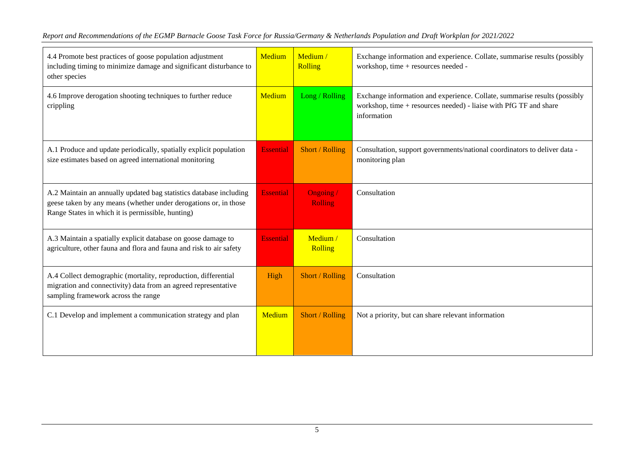| 4.4 Promote best practices of goose population adjustment<br>including timing to minimize damage and significant disturbance to<br>other species                                            | Medium           | Medium /<br><b>Rolling</b> | Exchange information and experience. Collate, summarise results (possibly<br>workshop, time + resources needed -                                              |
|---------------------------------------------------------------------------------------------------------------------------------------------------------------------------------------------|------------------|----------------------------|---------------------------------------------------------------------------------------------------------------------------------------------------------------|
| 4.6 Improve derogation shooting techniques to further reduce<br>crippling                                                                                                                   | Medium           | Long / Rolling             | Exchange information and experience. Collate, summarise results (possibly<br>workshop, time + resources needed) - liaise with PfG TF and share<br>information |
| A.1 Produce and update periodically, spatially explicit population<br>size estimates based on agreed international monitoring                                                               | <b>Essential</b> | Short / Rolling            | Consultation, support governments/national coordinators to deliver data -<br>monitoring plan                                                                  |
| A.2 Maintain an annually updated bag statistics database including<br>geese taken by any means (whether under derogations or, in those<br>Range States in which it is permissible, hunting) | <b>Essential</b> | Ongoing/<br><b>Rolling</b> | Consultation                                                                                                                                                  |
| A.3 Maintain a spatially explicit database on goose damage to<br>agriculture, other fauna and flora and fauna and risk to air safety                                                        | <b>Essential</b> | Medium/<br>Rolling         | Consultation                                                                                                                                                  |
| A.4 Collect demographic (mortality, reproduction, differential<br>migration and connectivity) data from an agreed representative<br>sampling framework across the range                     | High             | Short / Rolling            | Consultation                                                                                                                                                  |
| C.1 Develop and implement a communication strategy and plan                                                                                                                                 | Medium           | Short / Rolling            | Not a priority, but can share relevant information                                                                                                            |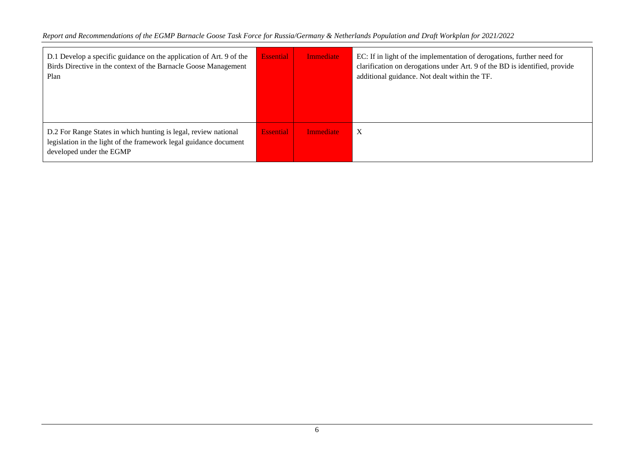| D.1 Develop a specific guidance on the application of Art. 9 of the<br>Birds Directive in the context of the Barnacle Goose Management<br>Plan                   | <b>Essential</b> | <b>Immediate</b> | EC: If in light of the implementation of derogations, further need for<br>clarification on derogations under Art. 9 of the BD is identified, provide<br>additional guidance. Not dealt within the TF. |
|------------------------------------------------------------------------------------------------------------------------------------------------------------------|------------------|------------------|-------------------------------------------------------------------------------------------------------------------------------------------------------------------------------------------------------|
| D.2 For Range States in which hunting is legal, review national<br>legislation in the light of the framework legal guidance document<br>developed under the EGMP | <b>Essential</b> | <b>Immediate</b> | X                                                                                                                                                                                                     |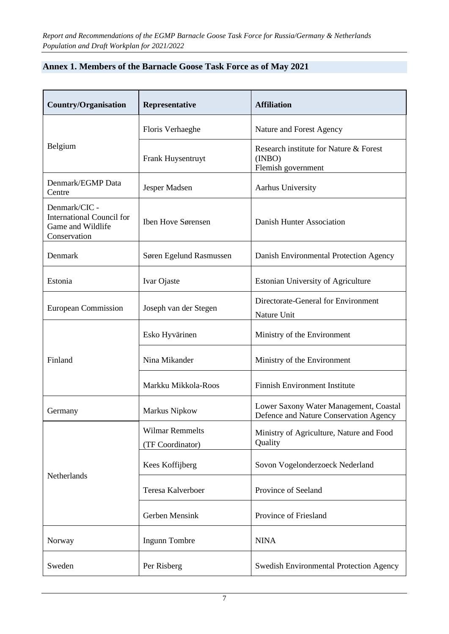| Annex 1. Members of the Barnacle Goose Task Force as of May 2021 |
|------------------------------------------------------------------|
|------------------------------------------------------------------|

| <b>Country/Organisation</b>                                                            | Representative                             | <b>Affiliation</b>                                                               |
|----------------------------------------------------------------------------------------|--------------------------------------------|----------------------------------------------------------------------------------|
|                                                                                        | Floris Verhaeghe                           | Nature and Forest Agency                                                         |
| Belgium                                                                                | Frank Huysentruyt                          | Research institute for Nature & Forest<br>(INBO)<br>Flemish government           |
| Denmark/EGMP Data<br>Centre                                                            | Jesper Madsen                              | Aarhus University                                                                |
| Denmark/CIC -<br><b>International Council for</b><br>Game and Wildlife<br>Conservation | Iben Hove Sørensen                         | Danish Hunter Association                                                        |
| Denmark                                                                                | Søren Egelund Rasmussen                    | Danish Environmental Protection Agency                                           |
| Estonia                                                                                | Ivar Ojaste                                | <b>Estonian University of Agriculture</b>                                        |
| <b>European Commission</b>                                                             | Joseph van der Stegen                      | Directorate-General for Environment<br>Nature Unit                               |
|                                                                                        | Esko Hyvärinen                             | Ministry of the Environment                                                      |
| Finland                                                                                | Nina Mikander                              | Ministry of the Environment                                                      |
|                                                                                        | Markku Mikkola-Roos                        | <b>Finnish Environment Institute</b>                                             |
| Germany                                                                                | Markus Nipkow                              | Lower Saxony Water Management, Coastal<br>Defence and Nature Conservation Agency |
|                                                                                        | <b>Wilmar Remmelts</b><br>(TF Coordinator) | Ministry of Agriculture, Nature and Food<br>Quality                              |
| Netherlands                                                                            | Kees Koffijberg                            | Sovon Vogelonderzoeck Nederland                                                  |
|                                                                                        | Teresa Kalverboer                          | Province of Seeland                                                              |
|                                                                                        | Gerben Mensink                             | Province of Friesland                                                            |
| Norway                                                                                 | Ingunn Tombre                              | <b>NINA</b>                                                                      |
| Sweden                                                                                 | Per Risberg                                | <b>Swedish Environmental Protection Agency</b>                                   |